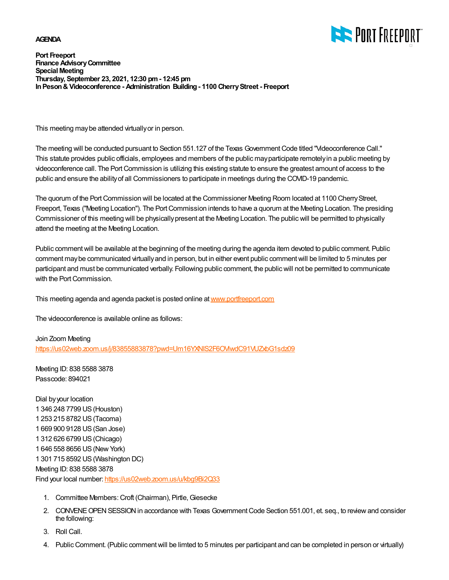## **AGENDA**



**Port Freeport Finance Advisory Committee Special Meeting Thursday, September 23, 2021, 12:30 pm - 12:45 pm In Peson & Videoconference - Administration Building - 1100 Cherry Street - Freeport**

This meeting may be attended virtually or in person.

The meeting will be conducted pursuant to Section 551.127 of the Texas Government Code titled "Videoconference Call." This statute provides public officials, employees and members of the public may participate remotely in a public meeting by videoconference call. The Port Commission is utilizing this existing statute to ensure the greatest amount of access to the public and ensure the ability of all Commissioners to participate in meetings during the COVID-19 pandemic.

The quorum of the Port Commission will be located at the Commissioner Meeting Room located at 1100 Cherry Street, Freeport, Texas ("Meeting Location"). The Port Commission intends to have a quorum at the Meeting Location. The presiding Commissioner of this meeting will be physically present at the Meeting Location. The public will be permitted to physically attend the meeting at the Meeting Location.

Public comment will be available at the beginning of the meeting during the agenda item devoted to public comment. Public comment may be communicated virtually and in person, but in either event public comment will be limited to 5 minutes per participant and must be communicated verbally. Following public comment, the public will not be permitted to communicate with the Port Commission.

This meeting agenda and agenda packet is posted online at [www.portfreeport.com](http://www.portfreeport.com)

The videoconference is available online as follows:

Join Zoom Meeting https://us02web.zoom.us/j/83855883878?pwd=Um16YXNIS2F6OVIwdC91VUZxbG1sdz09

Meeting ID: 838 5588 3878 Passcode: 894021

Dial by your location 1 346 248 7799 US (Houston) 1 253 215 8782 US (Tacoma) 1 669 900 9128 US (San Jose) 1 312 626 6799 US (Chicago) 1 646 558 8656 US (New York) 1 301 715 8592 US (Washington DC) Meeting ID: 838 5588 3878 Find your local number:<https://us02web.zoom.us/u/kbg9Bi2Q33>

- 1. Committee Members: Croft (Chairman), Pirtle, Giesecke
- 2. CONVENE OPEN SESSION in accordance with Texas Government Code Section 551.001, et. seq., to review and consider the following:
- 3. Roll Call.
- 4. Public Comment. (Public comment will be limted to 5 minutes per participant and can be completed in person or virtually)